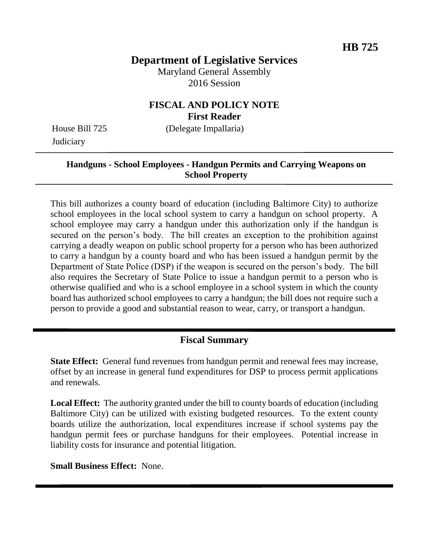# **Department of Legislative Services**

Maryland General Assembly 2016 Session

### **FISCAL AND POLICY NOTE First Reader**

House Bill 725 (Delegate Impallaria)

**Judiciary** 

#### **Handguns - School Employees - Handgun Permits and Carrying Weapons on School Property**

This bill authorizes a county board of education (including Baltimore City) to authorize school employees in the local school system to carry a handgun on school property. A school employee may carry a handgun under this authorization only if the handgun is secured on the person's body. The bill creates an exception to the prohibition against carrying a deadly weapon on public school property for a person who has been authorized to carry a handgun by a county board and who has been issued a handgun permit by the Department of State Police (DSP) if the weapon is secured on the person's body. The bill also requires the Secretary of State Police to issue a handgun permit to a person who is otherwise qualified and who is a school employee in a school system in which the county board has authorized school employees to carry a handgun; the bill does not require such a person to provide a good and substantial reason to wear, carry, or transport a handgun.

## **Fiscal Summary**

**State Effect:** General fund revenues from handgun permit and renewal fees may increase, offset by an increase in general fund expenditures for DSP to process permit applications and renewals.

**Local Effect:** The authority granted under the bill to county boards of education (including Baltimore City) can be utilized with existing budgeted resources. To the extent county boards utilize the authorization, local expenditures increase if school systems pay the handgun permit fees or purchase handguns for their employees. Potential increase in liability costs for insurance and potential litigation.

**Small Business Effect:** None.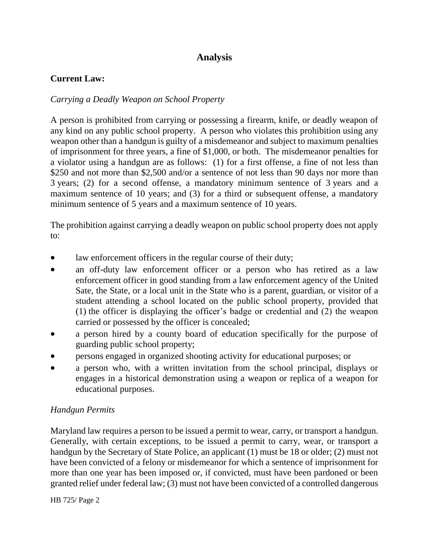# **Analysis**

### **Current Law:**

### *Carrying a Deadly Weapon on School Property*

A person is prohibited from carrying or possessing a firearm, knife, or deadly weapon of any kind on any public school property. A person who violates this prohibition using any weapon other than a handgun is guilty of a misdemeanor and subject to maximum penalties of imprisonment for three years, a fine of \$1,000, or both. The misdemeanor penalties for a violator using a handgun are as follows: (1) for a first offense, a fine of not less than \$250 and not more than \$2,500 and/or a sentence of not less than 90 days nor more than 3 years; (2) for a second offense, a mandatory minimum sentence of 3 years and a maximum sentence of 10 years; and (3) for a third or subsequent offense, a mandatory minimum sentence of 5 years and a maximum sentence of 10 years.

The prohibition against carrying a deadly weapon on public school property does not apply to:

- law enforcement officers in the regular course of their duty;
- an off-duty law enforcement officer or a person who has retired as a law enforcement officer in good standing from a law enforcement agency of the United Sate, the State, or a local unit in the State who is a parent, guardian, or visitor of a student attending a school located on the public school property, provided that (1) the officer is displaying the officer's badge or credential and (2) the weapon carried or possessed by the officer is concealed;
- a person hired by a county board of education specifically for the purpose of guarding public school property;
- persons engaged in organized shooting activity for educational purposes; or
- a person who, with a written invitation from the school principal, displays or engages in a historical demonstration using a weapon or replica of a weapon for educational purposes.

### *Handgun Permits*

Maryland law requires a person to be issued a permit to wear, carry, or transport a handgun. Generally, with certain exceptions, to be issued a permit to carry, wear, or transport a handgun by the Secretary of State Police, an applicant (1) must be 18 or older; (2) must not have been convicted of a felony or misdemeanor for which a sentence of imprisonment for more than one year has been imposed or, if convicted, must have been pardoned or been granted relief under federal law; (3) must not have been convicted of a controlled dangerous

HB 725/ Page 2